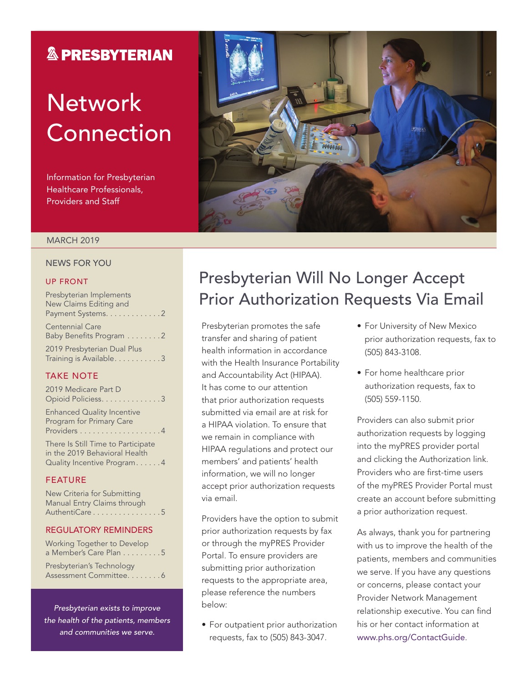## **& PRESBYTERIAN**

# **Network** Connection

Information for Presbyterian Healthcare Professionals, Providers and Staff



### MARCH 2019

### NEWS FOR YOU

### UP FRONT

| Presbyterian Implements                           |
|---------------------------------------------------|
| New Claims Editing and                            |
| Payment Systems. 2                                |
| <b>Centennial Care</b><br>Baby Benefits Program 2 |
| 2019 Presbyterian Dual Plus                       |
| Training is Available. 3                          |

### TAKE NOTE

| 2019 Medicare Part D<br>Opioid Policiess. 3                                                                   |  |
|---------------------------------------------------------------------------------------------------------------|--|
| <b>Enhanced Quality Incentive</b><br>Program for Primary Care                                                 |  |
| There Is Still Time to Participate<br>in the 2019 Behavioral Health<br>Quality Incentive Program4<br>FF ATIID |  |

### FEATURE

| New Criteria for Submitting |
|-----------------------------|
| Manual Entry Claims through |
| AuthentiCare 5              |

#### REGULATORY REMINDERS

Working Together to Develop a Member's Care Plan . . . . . . . . . 5 Presbyterian's Technology Assessment Committee. . . . . . . . 6

*Presbyterian exists to improve the health of the patients, members and communities we serve.*

## Presbyterian Will No Longer Accept Prior Authorization Requests Via Email

Presbyterian promotes the safe transfer and sharing of patient health information in accordance with the Health Insurance Portability and Accountability Act (HIPAA). It has come to our attention that prior authorization requests submitted via email are at risk for a HIPAA violation. To ensure that we remain in compliance with HIPAA regulations and protect our members' and patients' health information, we will no longer accept prior authorization requests via email.

Providers have the option to submit prior authorization requests by fax or through the myPRES Provider Portal. To ensure providers are submitting prior authorization requests to the appropriate area, please reference the numbers below:

• For outpatient prior authorization requests, fax to (505) 843-3047.

- For University of New Mexico prior authorization requests, fax to (505) 843-3108.
- For home healthcare prior authorization requests, fax to (505) 559-1150.

Providers can also submit prior authorization requests by logging into the myPRES provider portal and clicking the Authorization link. Providers who are first-time users of the myPRES Provider Portal must create an account before submitting a prior authorization request.

As always, thank you for partnering with us to improve the health of the patients, members and communities we serve. If you have any questions or concerns, please contact your Provider Network Management relationship executive. You can find his or her contact information at [www.phs.org/ContactGuide](http://www.phs.org/contactguide).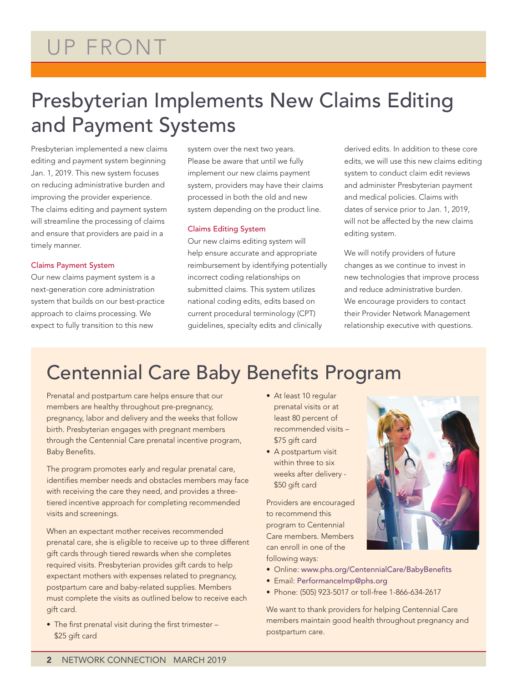# Presbyterian Implements New Claims Editing and Payment Systems

Presbyterian implemented a new claims editing and payment system beginning Jan. 1, 2019. This new system focuses on reducing administrative burden and improving the provider experience. The claims editing and payment system will streamline the processing of claims and ensure that providers are paid in a timely manner.

### Claims Payment System

Our new claims payment system is a next-generation core administration system that builds on our best-practice approach to claims processing. We expect to fully transition to this new

system over the next two years. Please be aware that until we fully implement our new claims payment system, providers may have their claims processed in both the old and new system depending on the product line.

### Claims Editing System

Our new claims editing system will help ensure accurate and appropriate reimbursement by identifying potentially incorrect coding relationships on submitted claims. This system utilizes national coding edits, edits based on current procedural terminology (CPT) guidelines, specialty edits and clinically

derived edits. In addition to these core edits, we will use this new claims editing system to conduct claim edit reviews and administer Presbyterian payment and medical policies. Claims with dates of service prior to Jan. 1, 2019, will not be affected by the new claims editing system.

We will notify providers of future changes as we continue to invest in new technologies that improve process and reduce administrative burden. We encourage providers to contact their Provider Network Management relationship executive with questions.

## Centennial Care Baby Benefits Program

Prenatal and postpartum care helps ensure that our members are healthy throughout pre-pregnancy, pregnancy, labor and delivery and the weeks that follow birth. Presbyterian engages with pregnant members through the Centennial Care prenatal incentive program, Baby Benefits.

The program promotes early and regular prenatal care, identifies member needs and obstacles members may face with receiving the care they need, and provides a threetiered incentive approach for completing recommended visits and screenings.

When an expectant mother receives recommended prenatal care, she is eligible to receive up to three different gift cards through tiered rewards when she completes required visits. Presbyterian provides gift cards to help expectant mothers with expenses related to pregnancy, postpartum care and baby-related supplies. Members must complete the visits as outlined below to receive each gift card.

• The first prenatal visit during the first trimester – \$25 gift card

- At least 10 regular prenatal visits or at least 80 percent of recommended visits – \$75 gift card
- A postpartum visit within three to six weeks after delivery - \$50 gift card

Providers are encouraged to recommend this program to Centennial Care members. Members can enroll in one of the following ways:



- Email: [PerformanceImp@phs.org](mailto:PerformanceImp@phs.org)
- Phone: (505) 923-5017 or toll-free 1-866-634-2617

We want to thank providers for helping Centennial Care members maintain good health throughout pregnancy and postpartum care.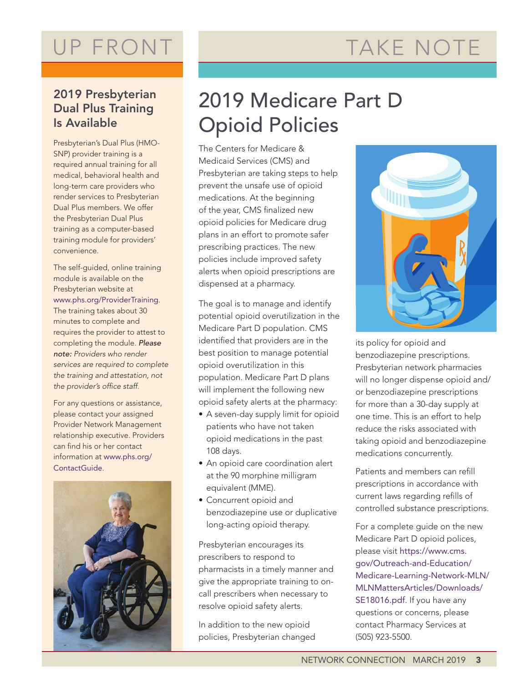# TAKE NOTE

# UP FRONT

### 2019 Presbyterian Dual Plus Training Is Available

Presbyterian's Dual Plus (HMO-SNP) provider training is a required annual training for all medical, behavioral health and long-term care providers who render services to Presbyterian Dual Plus members. We offer the Presbyterian Dual Plus training as a computer-based training module for providers' convenience.

The self-guided, online training module is available on the Presbyterian website at [www.phs.org/ProviderTraining](http://www.phs.org/ProviderTraining). The training takes about 30 minutes to complete and requires the provider to attest to completing the module. *Please note: Providers who render services are required to complete the training and attestation, not the provider's office staff.*

For any questions or assistance, please contact your assigned Provider Network Management relationship executive. Providers can find his or her contact information at [www.phs.org/](http://www.phs.org/contactguide) [ContactGuide](http://www.phs.org/contactguide).



# 2019 Medicare Part D Opioid Policies

The Centers for Medicare & Medicaid Services (CMS) and Presbyterian are taking steps to help prevent the unsafe use of opioid medications. At the beginning of the year, CMS [finalized new](https://www.cms.gov/Medicare/Prescription-Drug-coverage/PrescriptionDrugCovContra/RxUtilization.html)  [opioid policies](https://www.cms.gov/Medicare/Prescription-Drug-coverage/PrescriptionDrugCovContra/RxUtilization.html) for Medicare drug plans in an effort to promote safer prescribing practices. The new policies include improved safety alerts when opioid prescriptions are dispensed at a pharmacy.

The goal is to manage and identify potential opioid overutilization in the Medicare Part D population. CMS identified that providers are in the best position to manage potential opioid overutilization in this population. Medicare Part D plans will implement the following new opioid safety alerts at the pharmacy:

- A seven-day supply limit for opioid patients who have not taken opioid medications in the past 108 days.
- An opioid care coordination alert at the 90 morphine milligram equivalent (MME).
- Concurrent opioid and benzodiazepine use or duplicative long-acting opioid therapy.

Presbyterian encourages its prescribers to respond to pharmacists in a timely manner and give the appropriate training to oncall prescribers when necessary to resolve opioid safety alerts.

In addition to the new opioid policies, Presbyterian changed



its policy for opioid and benzodiazepine prescriptions. Presbyterian network pharmacies will no longer dispense opioid and/ or benzodiazepine prescriptions for more than a 30-day supply at one time. This is an effort to help reduce the risks associated with taking opioid and benzodiazepine medications concurrently.

Patients and members can refill prescriptions in accordance with current laws regarding refills of controlled substance prescriptions.

For a complete guide on the new Medicare Part D opioid polices, please visit [https://www.cms.](https://www.cms.gov/Outreach-and-Education/Medicare-Learning-Network-MLN/MLNMattersArticles/Downloads/SE18016.pdf) [gov/Outreach-and-Education/](https://www.cms.gov/Outreach-and-Education/Medicare-Learning-Network-MLN/MLNMattersArticles/Downloads/SE18016.pdf) [Medicare-Learning-Network-MLN/](https://www.cms.gov/Outreach-and-Education/Medicare-Learning-Network-MLN/MLNMattersArticles/Downloads/SE18016.pdf) [MLNMattersArticles/Downloads/](https://www.cms.gov/Outreach-and-Education/Medicare-Learning-Network-MLN/MLNMattersArticles/Downloads/SE18016.pdf) [SE18016.pdf](https://www.cms.gov/Outreach-and-Education/Medicare-Learning-Network-MLN/MLNMattersArticles/Downloads/SE18016.pdf). If you have any questions or concerns, please contact Pharmacy Services at (505) 923-5500.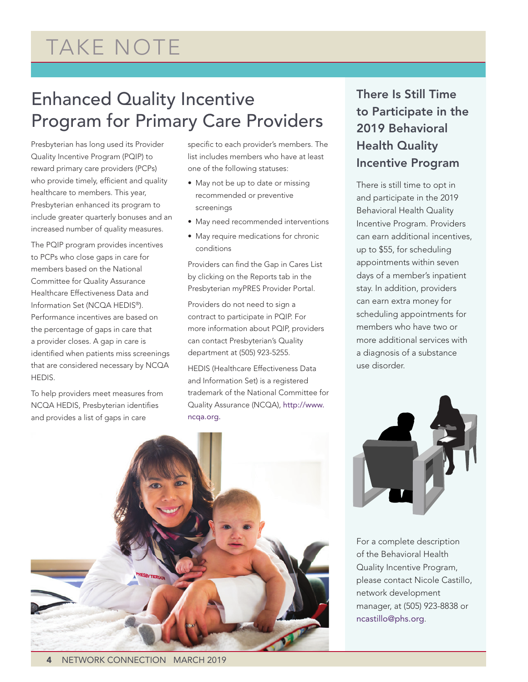# TAKE NOTE

## Enhanced Quality Incentive Program for Primary Care Providers

Presbyterian has long used its Provider Quality Incentive Program (PQIP) to reward primary care providers (PCPs) who provide timely, efficient and quality healthcare to members. This year, Presbyterian enhanced its program to include greater quarterly bonuses and an increased number of quality measures.

The PQIP program provides incentives to PCPs who close gaps in care for members based on the National Committee for Quality Assurance Healthcare Effectiveness Data and Information Set (NCQA HEDIS®). Performance incentives are based on the percentage of gaps in care that a provider closes. A gap in care is identified when patients miss screenings that are considered necessary by NCQA HEDIS.

To help providers meet measures from NCQA HEDIS, Presbyterian identifies and provides a list of gaps in care

specific to each provider's members. The list includes members who have at least one of the following statuses:

- May not be up to date or missing recommended or preventive screenings
- May need recommended interventions
- May require medications for chronic conditions

Providers can find the Gap in Cares List by clicking on the Reports tab in the Presbyterian myPRES Provider Portal.

Providers do not need to sign a contract to participate in PQIP. For more information about PQIP, providers can contact Presbyterian's Quality department at (505) 923-5255.

HEDIS (Healthcare Effectiveness Data and Information Set) is a registered trademark of the National Committee for Quality Assurance (NCQA), [http://www.](http://www.ncqa.org) [ncqa.org.](http://www.ncqa.org)

### There Is Still Time to Participate in the 2019 Behavioral Health Quality Incentive Program

There is still time to opt in and participate in the 2019 Behavioral Health Quality Incentive Program. Providers can earn additional incentives, up to \$55, for scheduling appointments within seven days of a member's inpatient stay. In addition, providers can earn extra money for scheduling appointments for members who have two or more additional services with a diagnosis of a substance use disorder.





For a complete description of the Behavioral Health Quality Incentive Program, please contact Nicole Castillo, network development manager, at (505) 923-8838 or [ncastillo@phs.org](mailto:ncastillo@phs.org).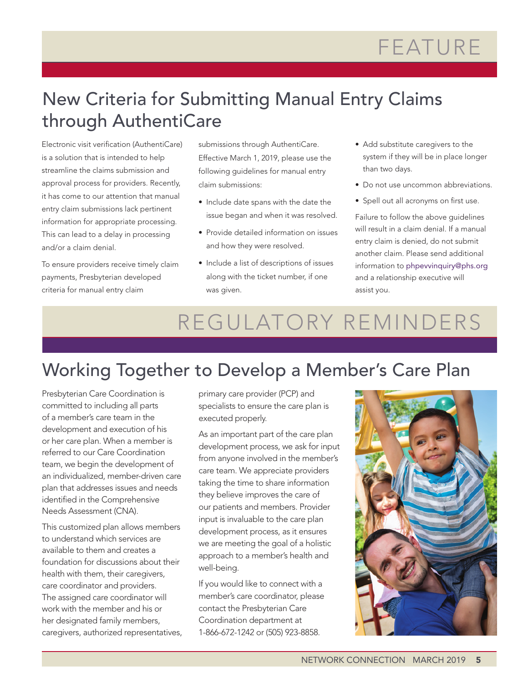# FEATURE

## New Criteria for Submitting Manual Entry Claims through AuthentiCare

Electronic visit verification (AuthentiCare) is a solution that is intended to help streamline the claims submission and approval process for providers. Recently, it has come to our attention that manual entry claim submissions lack pertinent information for appropriate processing. This can lead to a delay in processing and/or a claim denial.

To ensure providers receive timely claim payments, Presbyterian developed criteria for manual entry claim

submissions through AuthentiCare. Effective March 1, 2019, please use the following guidelines for manual entry claim submissions:

- Include date spans with the date the issue began and when it was resolved.
- Provide detailed information on issues and how they were resolved.
- Include a list of descriptions of issues along with the ticket number, if one was given.
- Add substitute caregivers to the system if they will be in place longer than two days.
- Do not use uncommon abbreviations.
- Spell out all acronyms on first use.

Failure to follow the above guidelines will result in a claim denial. If a manual entry claim is denied, do not submit another claim. Please send additional information to [phpevvinquiry@phs.org](mailto:phpevvinquiry@phs.org) and a relationship executive will assist you.

# REGULATORY REMINDERS

## Working Together to Develop a Member's Care Plan

Presbyterian Care Coordination is committed to including all parts of a member's care team in the development and execution of his or her care plan. When a member is referred to our Care Coordination team, we begin the development of an individualized, member-driven care plan that addresses issues and needs identified in the Comprehensive Needs Assessment (CNA).

This customized plan allows members to understand which services are available to them and creates a foundation for discussions about their health with them, their caregivers, care coordinator and providers. The assigned care coordinator will work with the member and his or her designated family members, caregivers, authorized representatives, primary care provider (PCP) and specialists to ensure the care plan is executed properly.

As an important part of the care plan development process, we ask for input from anyone involved in the member's care team. We appreciate providers taking the time to share information they believe improves the care of our patients and members. Provider input is invaluable to the care plan development process, as it ensures we are meeting the goal of a holistic approach to a member's health and well-being.

If you would like to connect with a member's care coordinator, please contact the Presbyterian Care Coordination department at 1-866-672-1242 or (505) 923-8858.